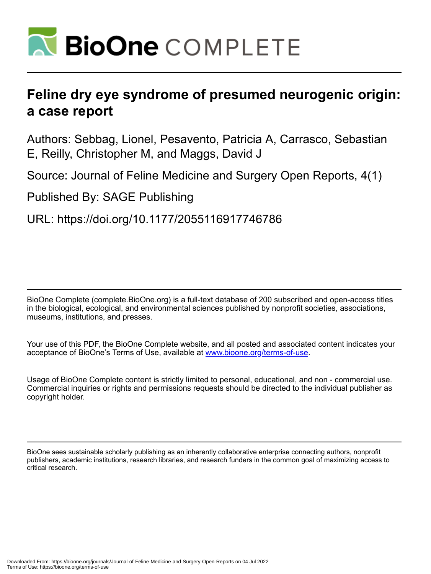

# **Feline dry eye syndrome of presumed neurogenic origin: a case report**

Authors: Sebbag, Lionel, Pesavento, Patricia A, Carrasco, Sebastian E, Reilly, Christopher M, and Maggs, David J

Source: Journal of Feline Medicine and Surgery Open Reports, 4(1)

Published By: SAGE Publishing

URL: https://doi.org/10.1177/2055116917746786

BioOne Complete (complete.BioOne.org) is a full-text database of 200 subscribed and open-access titles in the biological, ecological, and environmental sciences published by nonprofit societies, associations, museums, institutions, and presses.

Your use of this PDF, the BioOne Complete website, and all posted and associated content indicates your acceptance of BioOne's Terms of Use, available at www.bioone.org/terms-of-use.

Usage of BioOne Complete content is strictly limited to personal, educational, and non - commercial use. Commercial inquiries or rights and permissions requests should be directed to the individual publisher as copyright holder.

BioOne sees sustainable scholarly publishing as an inherently collaborative enterprise connecting authors, nonprofit publishers, academic institutions, research libraries, and research funders in the common goal of maximizing access to critical research.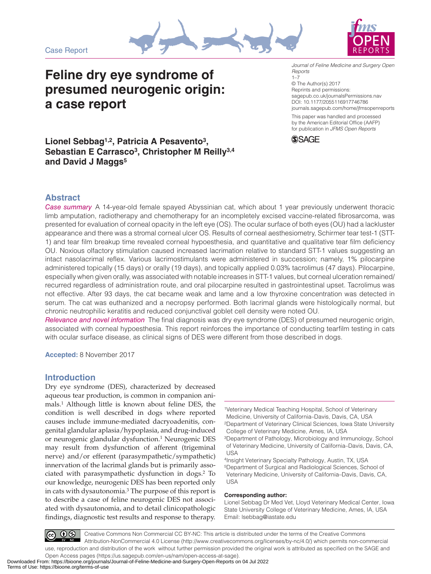Case Report





## **Feline dry eye syndrome of presumed neurogenic origin: a case report**

DOI: 10.1177/2055116917746786 *Journal of Feline Medicine and Surgery Open Reports*  $1 - 7$ © The Author(s) 2017 Reprints and permissions: [sagepub.co.uk/journalsPermissions.nav](https://uk.sagepub.com/en-gb/journals-permissions)

[journals.sagepub.com/home/jfmsopenreports](https://journals.sagepub.com/home/jfmsopenreports
)

This paper was handled and processed by the American Editorial Office (AAFP) for publication in *JFMS Open Reports*



## **Lionel Sebbag1,2, Patricia A Pesavento3, Sebastian E Carrasco3, Christopher M Reilly3,4 and David J Maggs5**

## **Abstract**

*Case summary* A 14-year-old female spayed Abyssinian cat, which about 1 year previously underwent thoracic limb amputation, radiotherapy and chemotherapy for an incompletely excised vaccine-related fibrosarcoma, was presented for evaluation of corneal opacity in the left eye (OS). The ocular surface of both eyes (OU) had a lackluster appearance and there was a stromal corneal ulcer OS. Results of corneal aesthesiometry, Schirmer tear test-1 (STT-1) and tear film breakup time revealed corneal hypoesthesia, and quantitative and qualitative tear film deficiency OU. Noxious olfactory stimulation caused increased lacrimation relative to standard STT-1 values suggesting an intact nasolacrimal reflex. Various lacrimostimulants were administered in succession; namely, 1% pilocarpine administered topically (15 days) or orally (19 days), and topically applied 0.03% tacrolimus (47 days). Pilocarpine, especially when given orally, was associated with notable increases in STT-1 values, but corneal ulceration remained/ recurred regardless of administration route, and oral pilocarpine resulted in gastrointestinal upset. Tacrolimus was not effective. After 93 days, the cat became weak and lame and a low thyroxine concentration was detected in serum. The cat was euthanized and a necropsy performed. Both lacrimal glands were histologically normal, but chronic neutrophilic keratitis and reduced conjunctival goblet cell density were noted OU.

*Relevance and novel information* The final diagnosis was dry eye syndrome (DES) of presumed neurogenic origin, associated with corneal hypoesthesia. This report reinforces the importance of conducting tearfilm testing in cats with ocular surface disease, as clinical signs of DES were different from those described in dogs.

**Accepted:** 8 November 2017

## **Introduction**

Dry eye syndrome (DES), characterized by decreased aqueous tear production, is common in companion animals.1 Although little is known about feline DES, the condition is well described in dogs where reported causes include immune-mediated dacryoadenitis, congenital glandular aplasia/hypoplasia, and drug-induced or neurogenic glandular dysfunction.1 Neurogenic DES may result from dysfunction of afferent (trigeminal nerve) and/or efferent (parasympathetic/sympathetic) innervation of the lacrimal glands but is primarily associated with parasympathetic dysfunction in dogs.2 To our knowledge, neurogenic DES has been reported only in cats with dysautonomia.3 The purpose of this report is to describe a case of feline neurogenic DES not associated with dysautonomia, and to detail clinicopathologic findings, diagnostic test results and response to therapy.

#### **Corresponding author:**

Lionel Sebbag Dr Med Vet, Lloyd Veterinary Medical Center, Iowa State University College of Veterinary Medicine, Ames, IA, USA Email: [lsebbag@iastate.edu](mailto:lsebbag@iastate.edu)

 $\circledcirc$ Creative Commons Non Commercial CC BY-NC: This article is distributed under the terms of the Creative Commons Attribution-NonCommercial 4.0 License (http://www.creativecommons.org/licenses/by-nc/4.0/) which permits non-commercial use, reproduction and distribution of the work without further permission provided the original work is attributed as specified on the SAGE and Open Access pages (https://us.sagepub.com/en-us/nam/open-access-at-sage).

<sup>1</sup>Veterinary Medical Teaching Hospital, School of Veterinary Medicine, University of California–Davis, Davis, CA, USA 2Department of Veterinary Clinical Sciences, Iowa State University College of Veterinary Medicine, Ames, IA, USA

<sup>3</sup>Department of Pathology, Microbiology and Immunology, School of Veterinary Medicine, University of California–Davis, Davis, CA, USA

<sup>4</sup>Insight Veterinary Specialty Pathology, Austin, TX, USA 5Department of Surgical and Radiological Sciences, School of Veterinary Medicine, University of California–Davis, Davis, CA, USA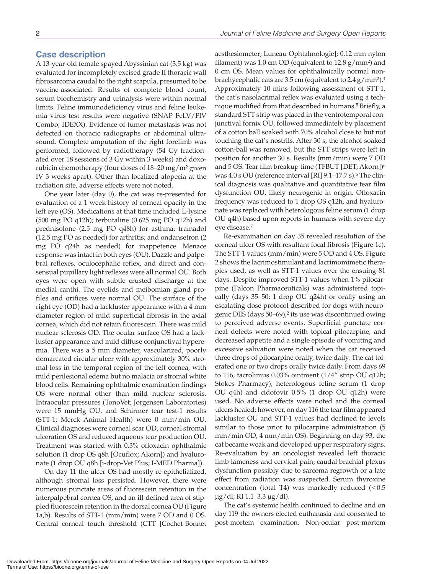## **Case description**

A 13-year-old female spayed Abyssinian cat (3.5 kg) was evaluated for incompletely excised grade II thoracic wall fibrosarcoma caudal to the right scapula, presumed to be vaccine-associated. Results of complete blood count, serum biochemistry and urinalysis were within normal limits. Feline immunodeficiency virus and feline leukemia virus test results were negative (SNAP FeLV/FIV Combo; IDEXX). Evidence of tumor metastasis was not detected on thoracic radiographs or abdominal ultrasound. Complete amputation of the right forelimb was performed, followed by radiotherapy (54 Gy fractionated over 18 sessions of 3 Gy within 3 weeks) and doxorubicin chemotherapy (four doses of 18–20 mg/m2 given IV 3 weeks apart). Other than localized alopecia at the radiation site, adverse effects were not noted.

One year later (day 0), the cat was re-presented for evaluation of a 1 week history of corneal opacity in the left eye (OS). Medications at that time included L-lysine (500 mg PO q12h); terbutaline (0.625 mg PO q12h) and prednisolone (2.5 mg PO q48h) for asthma; tramadol (12.5 mg PO as needed) for arthritis; and ondansetron (2 mg PO q24h as needed) for inappetence. Menace response was intact in both eyes (OU). Dazzle and palpebral reflexes, oculocephalic reflex, and direct and consensual pupillary light reflexes were all normal OU. Both eyes were open with subtle crusted discharge at the medial canthi. The eyelids and meibomian gland profiles and orifices were normal OU. The surface of the right eye (OD) had a lackluster appearance with a 4 mm diameter region of mild superficial fibrosis in the axial cornea, which did not retain fluorescein. There was mild nuclear sclerosis OD. The ocular surface OS had a lackluster appearance and mild diffuse conjunctival hyperemia. There was a 5 mm diameter, vascularized, poorly demarcated circular ulcer with approximately 30% stromal loss in the temporal region of the left cornea, with mild perilesional edema but no malacia or stromal white blood cells. Remaining ophthalmic examination findings OS were normal other than mild nuclear sclerosis. Intraocular pressures (TonoVet; Jorgensen Laboratories) were 15 mmHg OU, and Schirmer tear test-1 results (STT-1; Merck Animal Health) were 0 mm/min OU. Clinical diagnoses were corneal scar OD, corneal stromal ulceration OS and reduced aqueous tear production OU. Treatment was started with 0.3% ofloxacin ophthalmic solution (1 drop OS q8h [Ocuflox; Akorn]) and hyaluronate (1 drop OU q8h [i-drop-Vet Plus; I-MED Pharma]).

On day 11 the ulcer OS had mostly re-epithelialized, although stromal loss persisted. However, there were numerous punctate areas of fluorescein retention in the interpalpebral cornea OS, and an ill-defined area of stippled fluorescein retention in the dorsal cornea OU (Figure 1a,b). Results of STT-1 (mm/min) were 7 OD and 0 OS. Central corneal touch threshold (CTT [Cochet-Bonnet

aesthesiometer; Luneau Ophtalmologie]; 0.12 mm nylon filament) was 1.0 cm OD (equivalent to  $12.8$  g/mm<sup>2</sup>) and 0 cm OS. Mean values for ophthalmically normal nonbrachycephalic cats are 3.5 cm (equivalent to 2.4 g/mm2).4 Approximately 10 mins following assessment of STT-1, the cat's nasolacrimal reflex was evaluated using a technique modified from that described in humans.5 Briefly, a standard STT strip was placed in the ventrotemporal conjunctival fornix OU, followed immediately by placement of a cotton ball soaked with 70% alcohol close to but not touching the cat's nostrils. After 30 s, the alcohol-soaked cotton-ball was removed, but the STT strips were left in position for another 30 s. Results (mm/min) were 7 OD and 5 OS. Tear film breakup time (TFBUT [DET; Akorn])<sup>6</sup> was  $4.0$  s OU (reference interval [RI]  $9.1-17.7$  s).<sup>6</sup> The clinical diagnosis was qualitative and quantitative tear film dysfunction OU, likely neurogenic in origin. Ofloxacin frequency was reduced to 1 drop OS q12h, and hyaluronate was replaced with heterologous feline serum (1 drop OU q4h) based upon reports in humans with severe dry eye disease.7

Re-examination on day 35 revealed resolution of the corneal ulcer OS with resultant focal fibrosis (Figure 1c). The STT-1 values (mm/min) were 5 OD and 4 OS. Figure 2 shows the lacrimostimulant and lacrimomimetic therapies used, as well as STT-1 values over the ensuing 81 days. Despite improved STT-1 values when 1% pilocarpine (Falcon Pharmaceuticals) was administered topically (days 35–50; 1 drop OU q24h) or orally using an escalating dose protocol described for dogs with neurogenic DES (days 50–69),<sup>2</sup> its use was discontinued owing to perceived adverse events. Superficial punctate corneal defects were noted with topical pilocarpine, and decreased appetite and a single episode of vomiting and excessive salivation were noted when the cat received three drops of pilocarpine orally, twice daily. The cat tolerated one or two drops orally twice daily. From days 69 to 116, tacrolimus 0.03% ointment (1/4" strip OU q12h; Stokes Pharmacy), heterologous feline serum (1 drop OU q4h) and cidofovir 0.5% (1 drop OU q12h) were used. No adverse effects were noted and the corneal ulcers healed; however, on day 116 the tear film appeared lackluster OU and STT-1 values had declined to levels similar to those prior to pilocarpine administration (5 mm/min OD, 4 mm/min OS). Beginning on day 93, the cat became weak and developed upper respiratory signs. Re-evaluation by an oncologist revealed left thoracic limb lameness and cervical pain; caudal brachial plexus dysfunction possibly due to sarcoma regrowth or a late effect from radiation was suspected. Serum thyroxine concentration (total T4) was markedly reduced  $(<0.5$ µg/dl; RI 1.1–3.3 µg/dl).

The cat's systemic health continued to decline and on day 119 the owners elected euthanasia and consented to post-mortem examination. Non-ocular post-mortem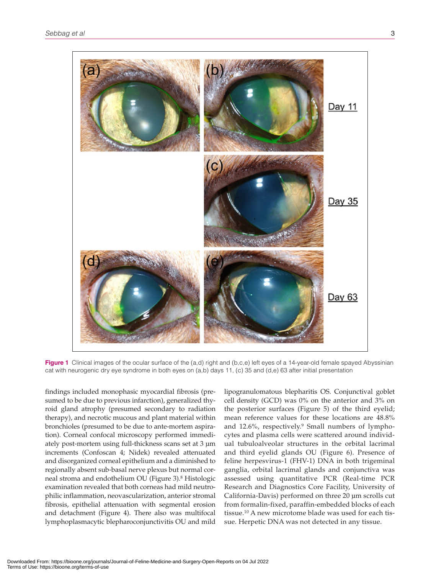

**Figure 1** Clinical images of the ocular surface of the (a,d) right and (b,c,e) left eyes of a 14-year-old female spayed Abyssinian cat with neurogenic dry eye syndrome in both eyes on  $(a,b)$  days 11, (c) 35 and  $(d,e)$  63 after initial presentation

findings included monophasic myocardial fibrosis (presumed to be due to previous infarction), generalized thyroid gland atrophy (presumed secondary to radiation therapy), and necrotic mucous and plant material within bronchioles (presumed to be due to ante-mortem aspiration). Corneal confocal microscopy performed immediately post-mortem using full-thickness scans set at 3 μm increments (Confoscan 4; Nidek) revealed attenuated and disorganized corneal epithelium and a diminished to regionally absent sub-basal nerve plexus but normal corneal stroma and endothelium OU (Figure 3).8 Histologic examination revealed that both corneas had mild neutrophilic inflammation, neovascularization, anterior stromal fibrosis, epithelial attenuation with segmental erosion and detachment (Figure 4). There also was multifocal lymphoplasmacytic blepharoconjunctivitis OU and mild

lipogranulomatous blepharitis OS. Conjunctival goblet cell density (GCD) was 0% on the anterior and 3% on the posterior surfaces (Figure 5) of the third eyelid; mean reference values for these locations are 48.8% and 12.6%, respectively.9 Small numbers of lymphocytes and plasma cells were scattered around individual tubuloalveolar structures in the orbital lacrimal and third eyelid glands OU (Figure 6). Presence of feline herpesvirus-1 (FHV-1) DNA in both trigeminal ganglia, orbital lacrimal glands and conjunctiva was assessed using quantitative PCR (Real-time PCR Research and Diagnostics Core Facility, University of California-Davis) performed on three 20 µm scrolls cut from formalin-fixed, paraffin-embedded blocks of each tissue.10 A new microtome blade was used for each tissue. Herpetic DNA was not detected in any tissue.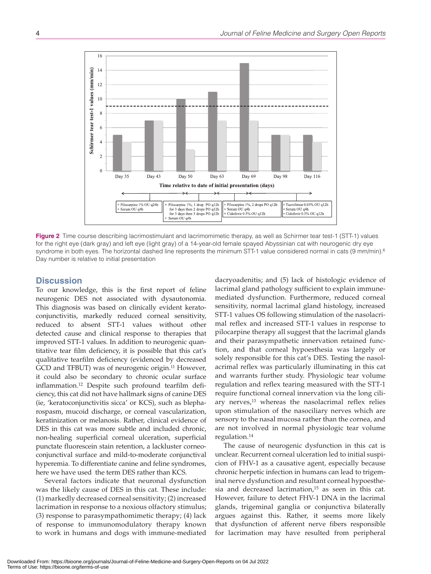

**Figure 2** Time course describing lacrimostimulant and lacrimomimetic therapy, as well as Schirmer tear test-1 (STT-1) values for the right eye (dark gray) and left eye (light gray) of a 14-year-old female spayed Abyssinian cat with neurogenic dry eye syndrome in both eyes. The horizontal dashed line represents the minimum STT-1 value considered normal in cats (9 mm/min).<sup>6</sup> Day number is relative to initial presentation

## **Discussion**

To our knowledge, this is the first report of feline neurogenic DES not associated with dysautonomia. This diagnosis was based on clinically evident keratoconjunctivitis, markedly reduced corneal sensitivity, reduced to absent STT-1 values without other detected cause and clinical response to therapies that improved STT-1 values. In addition to neurogenic quantitative tear film deficiency, it is possible that this cat's qualitative tearfilm deficiency (evidenced by decreased GCD and TFBUT) was of neurogenic origin.<sup>11</sup> However, it could also be secondary to chronic ocular surface inflammation.12 Despite such profound tearfilm deficiency, this cat did not have hallmark signs of canine DES (ie, 'keratoconjunctivitis sicca' or KCS), such as blepharospasm, mucoid discharge, or corneal vascularization, keratinization or melanosis. Rather, clinical evidence of DES in this cat was more subtle and included chronic, non-healing superficial corneal ulceration, superficial punctate fluorescein stain retention, a lackluster corneoconjunctival surface and mild-to-moderate conjunctival hyperemia. To differentiate canine and feline syndromes, here we have used the term DES rather than KCS.

Several factors indicate that neuronal dysfunction was the likely cause of DES in this cat. These include: (1) markedly decreased corneal sensitivity; (2) increased lacrimation in response to a noxious olfactory stimulus; (3) response to parasympathomimetic therapy; (4) lack of response to immunomodulatory therapy known to work in humans and dogs with immune-mediated

dacryoadenitis; and (5) lack of histologic evidence of lacrimal gland pathology sufficient to explain immunemediated dysfunction. Furthermore, reduced corneal sensitivity, normal lacrimal gland histology, increased STT-1 values OS following stimulation of the nasolacrimal reflex and increased STT-1 values in response to pilocarpine therapy all suggest that the lacrimal glands and their parasympathetic innervation retained function, and that corneal hypoesthesia was largely or solely responsible for this cat's DES. Testing the nasolacrimal reflex was particularly illuminating in this cat and warrants further study. Physiologic tear volume regulation and reflex tearing measured with the STT-1 require functional corneal innervation via the long ciliary nerves, $13$  whereas the nasolacrimal reflex relies upon stimulation of the nasociliary nerves which are sensory to the nasal mucosa rather than the cornea, and are not involved in normal physiologic tear volume regulation.14

The cause of neurogenic dysfunction in this cat is unclear. Recurrent corneal ulceration led to initial suspicion of FHV-1 as a causative agent, especially because chronic herpetic infection in humans can lead to trigeminal nerve dysfunction and resultant corneal hypoesthesia and decreased lacrimation, $15$  as seen in this cat. However, failure to detect FHV-1 DNA in the lacrimal glands, trigeminal ganglia or conjunctiva bilaterally argues against this. Rather, it seems more likely that dysfunction of afferent nerve fibers responsible for lacrimation may have resulted from peripheral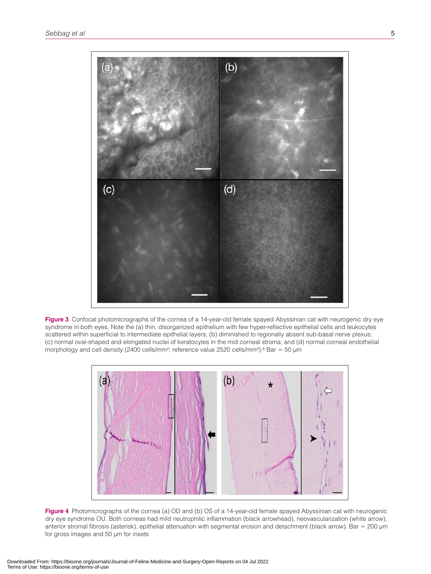

**Figure 3** Confocal photomicrographs of the cornea of a 14-year-old female spayed Abyssinian cat with neurogenic dry eye syndrome in both eyes. Note the (a) thin, disorganized epithelium with few hyper-reflective epithelial cells and leukocytes scattered within superficial to intermediate epithelial layers; (b) diminished to regionally absent sub-basal nerve plexus; (c) normal oval-shaped and elongated nuclei of keratocytes in the mid corneal stroma; and (d) normal corneal endothelial morphology and cell density (2400 cells/mm<sup>2</sup>; reference value 2520 cells/mm<sup>2</sup>).<sup>8</sup> Bar = 50 µm



**Figure 4** Photomicrographs of the cornea (a) OD and (b) OS of a 14-year-old female spayed Abyssinian cat with neurogenic dry eye syndrome OU. Both corneas had mild neutrophilic inflammation (black arrowhead), neovascularization (white arrow), anterior stromal fibrosis (asterisk), epithelial attenuation with segmental erosion and detachment (black arrow). Bar = 200 µm for gross images and 50 µm for insets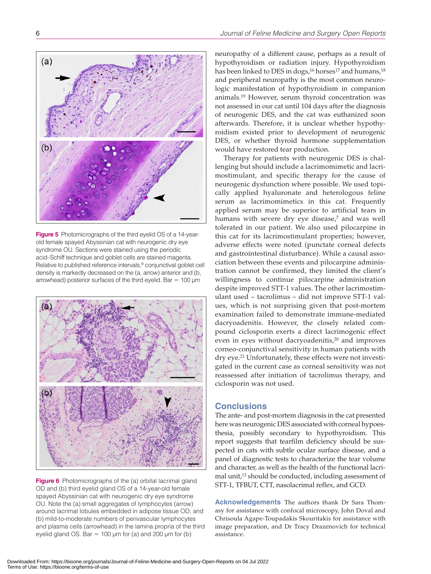

**Figure 5** Photomicrographs of the third eyelid OS of a 14-yearold female spayed Abyssinian cat with neurogenic dry eye syndrome OU. Sections were stained using the periodic acid–Schiff technique and goblet cells are stained magenta. Relative to published reference intervals,<sup>9</sup> conjunctival goblet cell density is markedly decreased on the (a, arrow) anterior and (b, arrowhead) posterior surfaces of the third eyelid. Bar =  $100 \mu m$ 



**Figure 6** Photomicrographs of the (a) orbital lacrimal gland OD and (b) third eyelid gland OS of a 14-year-old female spayed Abyssinian cat with neurogenic dry eye syndrome OU. Note the (a) small aggregates of lymphocytes (arrow) around lacrimal lobules embedded in adipose tissue OD; and (b) mild-to-moderate numbers of perivascular lymphocytes and plasma cells (arrowhead) in the lamina propria of the third eyelid gland OS. Bar = 100  $\mu$ m for (a) and 200  $\mu$ m for (b)

neuropathy of a different cause, perhaps as a result of hypothyroidism or radiation injury. Hypothyroidism has been linked to DES in dogs,<sup>16</sup> horses<sup>17</sup> and humans,<sup>18</sup> and peripheral neuropathy is the most common neurologic manifestation of hypothyroidism in companion animals.19 However, serum thyroid concentration was not assessed in our cat until 104 days after the diagnosis of neurogenic DES, and the cat was euthanized soon afterwards. Therefore, it is unclear whether hypothyroidism existed prior to development of neurogenic DES, or whether thyroid hormone supplementation would have restored tear production.

Therapy for patients with neurogenic DES is challenging but should include a lacrimomimetic and lacrimostimulant, and specific therapy for the cause of neurogenic dysfunction where possible. We used topically applied hyaluronate and heterologous feline serum as lacrimomimetics in this cat. Frequently applied serum may be superior to artificial tears in humans with severe dry eye disease,<sup>7</sup> and was well tolerated in our patient. We also used pilocarpine in this cat for its lacrimostimulant properties; however, adverse effects were noted (punctate corneal defects and gastrointestinal disturbance). While a causal association between these events and pilocarpine administration cannot be confirmed, they limited the client's willingness to continue pilocarpine administration despite improved STT-1 values. The other lacrimostimulant used – tacrolimus – did not improve STT-1 values, which is not surprising given that post-mortem examination failed to demonstrate immune-mediated dacryoadenitis. However, the closely related compound ciclosporin exerts a direct lacrimogenic effect even in eyes without dacryoadenitis,<sup>20</sup> and improves corneo-conjunctival sensitivity in human patients with dry eye.21 Unfortunately, these effects were not investigated in the current case as corneal sensitivity was not reassessed after initiation of tacrolimus therapy, and ciclosporin was not used.

## **Conclusions**

The ante- and post-mortem diagnosis in the cat presented here was neurogenic DES associated with corneal hypoesthesia, possibly secondary to hypothyroidism. This report suggests that tearfilm deficiency should be suspected in cats with subtle ocular surface disease, and a panel of diagnostic tests to characterize the tear volume and character, as well as the health of the functional lacrimal unit,<sup>13</sup> should be conducted, including assessment of STT-1, TFBUT, CTT, nasolacrimal reflex, and GCD.

**Acknowledgements** The authors thank Dr Sara Thomasy for assistance with confocal microscopy, John Doval and Chrisoula Agape-Toupadakis Skouritakis for assistance with image preparation, and Dr Tracy Drazenovich for technical assistance.